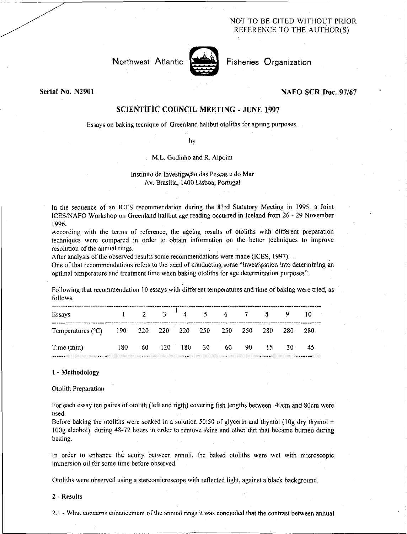NOT TO BE CITED WITHOUT PRIOR REFERENCE TO THE AUTHOR(S)



Fisheries Organization

Serial No. N2901

## NAFO SCR Doc. 97/67

# SCIENTIFIC COUNCIL MEETING - JUNE 1997

Essays on baking tecnique of Greenland halibut otoliths for ageing purposes.

by

M.L. Godinho and R. Alpoim

## Instituto de Investigação das Pescas e do Mar Av. Brasilia, 1400 Lisboa, Portugal

In the sequence of an ICES recommendation during the 83rd Statutory Meeting in 1995, a Joint ICES/NAFO Workshop on Greenland halibut age reading occurred in Iceland from 26 - 29 November 1996.

According with the terms of reference, the ageing results of otoliths with different preparation techniques were compared in order to obtain information on the better techniques to improve resolution of the annual rings.

After analysis of the observed results some recommendations were made (ICES, 1997).

One of that recommendations refers to the need of conducting some "investigation into determining an optimal temperature and treatment time when baking otoliths for age determination purposes".

Following that recommendation 10 essays with different temperatures and time of baking were tried, as follows:

| Essays                                                    |     |    |  | $1 \t2 \t3 \t4 \t5 \t6 \t7 \t8 \t9 \t10$ |       |      |      |  |
|-----------------------------------------------------------|-----|----|--|------------------------------------------|-------|------|------|--|
| Temperatures (°C) 190 220 220 220 250 250 250 280 280 280 |     |    |  |                                          |       |      |      |  |
| Time (min)                                                | 180 | 60 |  | 120 180 30 60                            | 90 15 | - 30 | - 45 |  |

#### I - Methodology

Otolith Preparation

For each essay ten paires of otolith (left and rigth) covering fish lengths between 40cm and 80cm were used.

Before baking the otoliths were soaked in a solution 50:50 of glycerin and thymol  $(10g$  dry thymol  $+$ 100g alcohol) during 48-72 hours in order to remove skins and other dirt that became burned during baking.

In order to enhance the acuity between annuli, the baked otoliths were wet with microscopic immersion oil for some time before observed.

Otoliths were observed using a stereomicroscope with reflected light, against a black background.

#### 2 - Results

2.1 - What concerns enhancement of the annual rings it was concluded that the contrast between annual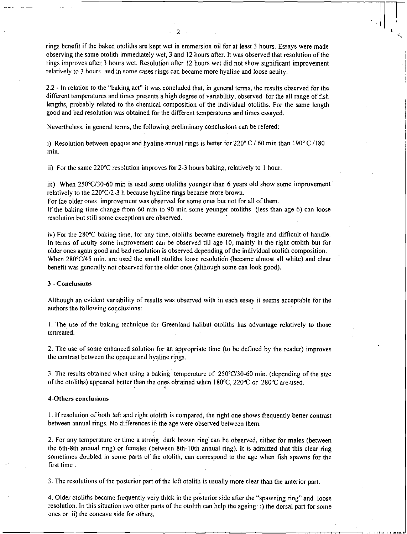rings benefit if the baked otoliths are kept wet in emmersion oil for at least 3 hours. Essays were made observing the same otolith immediately wet, 3 and 12 hours after. It was observed that resolution of the rings improves after 3 hours wet. Resolution after 12 hours wet did not show significant improvement relatively to 3 hours and in some cases rings can became more hyaline and loose acuity.

 $\mathfrak{D}$ 

2.2 - In relation to the "baking act" it was concluded that, in general terms, the results observed for the different temperatures and times presents a high degree of variability, observed for the all range of fish lengths, probably related to the chemical composition of the individual otoliths. For the same length good and bad resolution was obtained for the different temperatures and times essayed.

Nevertheless, in general terms, the following preliminary conclusions can be refered:

i) Resolution between opaque and hyaline annual rings is better for  $220^{\circ}$  C / 60 min than 190° C /180 min.

ii) For the same 220°C resolution improves for 2-3 hours baking, relatively to 1 hour.

iii) When 250°C/30-60 min is used some otoliths younger than 6 years old show some improvement relatively to the 220°C/2-3 h because hyaline rings became more brown.

For the older ones improvement was observed for some ones but not for all of them. If the baking time change from 60 min to 90 min some younger otoliths (less than age 6) can loose resolution but still some exceptions are observed.

iv) For the 280°C baking time, for any time, otoliths became extremely fragile and difficult of handle. In terms of acuity some improvement can be observed till age 10, mainly in the right otolith but for older ones again good and bad resolution is observed depending of the individual otolith composition. When 280°C/45 min. are used the small otoliths loose resolution (became almost all white) and clear benefit was generally not observed for the older ones (although some can look good).

### 3 - Conclusions

Although an evident variability of results was observed with in each essay it seems acceptable for the authors the following conclusions:

1. The use of the baking technique for Greenland halibut otoliths has advantage relatively to those untreated.

2. The use of some enhanced solution for an appropriate time (to be defined by the reader) improves the contrast between the opaque and hyaline rings.

3. The results obtained when using a baking temperature of 250°C/30-60 min. (depending of the size of the otoliths) appeared better than the ones obtained when 180°C, 220°C or 280°C are•used.

#### 4-Others conclusions

I. If resolution of both left and right otolith is compared, the right one shows frequently better contrast between annual rings. No differences in the age were observed between them.

2. For any temperature or time a strong dark brown ring can be observed, either for males (between the 6th-8th annual ring) or females (between 8th-10th annual ring). It is admitted that this clear ring sometimes doubled in some parts of the otolith, can correspond to the age when fish spawns for the first time .

3. The resolutions of the posterior part of the left otolith is usually more clear than the anterior part.

4. Older otoliths became frequently very thick in the posterior side after the "spawning ring" and loose resolution. In this situation two other parts of the otolith can help the ageing: i) the dorsal part for some ones or ii) the concave side for others.